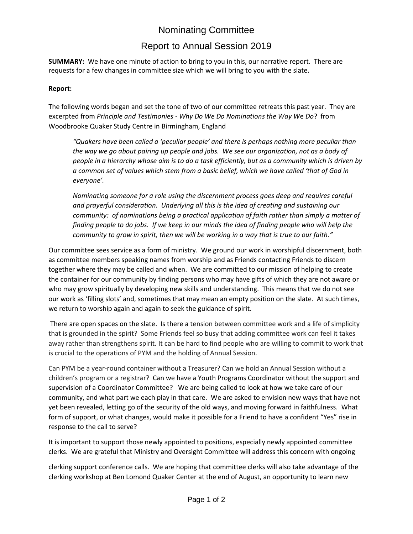## Nominating Committee

### Report to Annual Session 2019

**SUMMARY:** We have one minute of action to bring to you in this, our narrative report. There are requests for a few changes in committee size which we will bring to you with the slate.

#### **Report:**

The following words began and set the tone of two of our committee retreats this past year. They are excerpted from *Principle and Testimonies - Why Do We Do Nominations the Way W*e *Do*? from Woodbrooke Quaker Study Centre in Birmingham, England

*"Quakers have been called a 'peculiar people' and there is perhaps nothing more peculiar than the way we go about pairing up people and jobs. We see our organization, not as a body of people in a hierarchy whose aim is to do a task efficiently, but as a community which is driven by a common set of values which stem from a basic belief, which we have called 'that of God in everyone'.*

*Nominating someone for a role using the discernment process goes deep and requires careful and prayerful consideration. Underlying all this is the idea of creating and sustaining our community: of nominations being a practical application of faith rather than simply a matter of finding people to do jobs. If we keep in our minds the idea of finding people who will help the community to grow in spirit, then we will be working in a way that is true to our faith."*

Our committee sees service as a form of ministry. We ground our work in worshipful discernment, both as committee members speaking names from worship and as Friends contacting Friends to discern together where they may be called and when. We are committed to our mission of helping to create the container for our community by finding persons who may have gifts of which they are not aware or who may grow spiritually by developing new skills and understanding. This means that we do not see our work as 'filling slots' and, sometimes that may mean an empty position on the slate. At such times, we return to worship again and again to seek the guidance of spirit.

There are open spaces on the slate. Is there a tension between committee work and a life of simplicity that is grounded in the spirit? Some Friends feel so busy that adding committee work can feel it takes away rather than strengthens spirit. It can be hard to find people who are willing to commit to work that is crucial to the operations of PYM and the holding of Annual Session.

Can PYM be a year-round container without a Treasurer? Can we hold an Annual Session without a children's program or a registrar? Can we have a Youth Programs Coordinator without the support and supervision of a Coordinator Committee? We are being called to look at how we take care of our community, and what part we each play in that care. We are asked to envision new ways that have not yet been revealed, letting go of the security of the old ways, and moving forward in faithfulness. What form of support, or what changes, would make it possible for a Friend to have a confident "Yes" rise in response to the call to serve?

It is important to support those newly appointed to positions, especially newly appointed committee clerks. We are grateful that Ministry and Oversight Committee will address this concern with ongoing

clerking support conference calls. We are hoping that committee clerks will also take advantage of the clerking workshop at Ben Lomond Quaker Center at the end of August, an opportunity to learn new